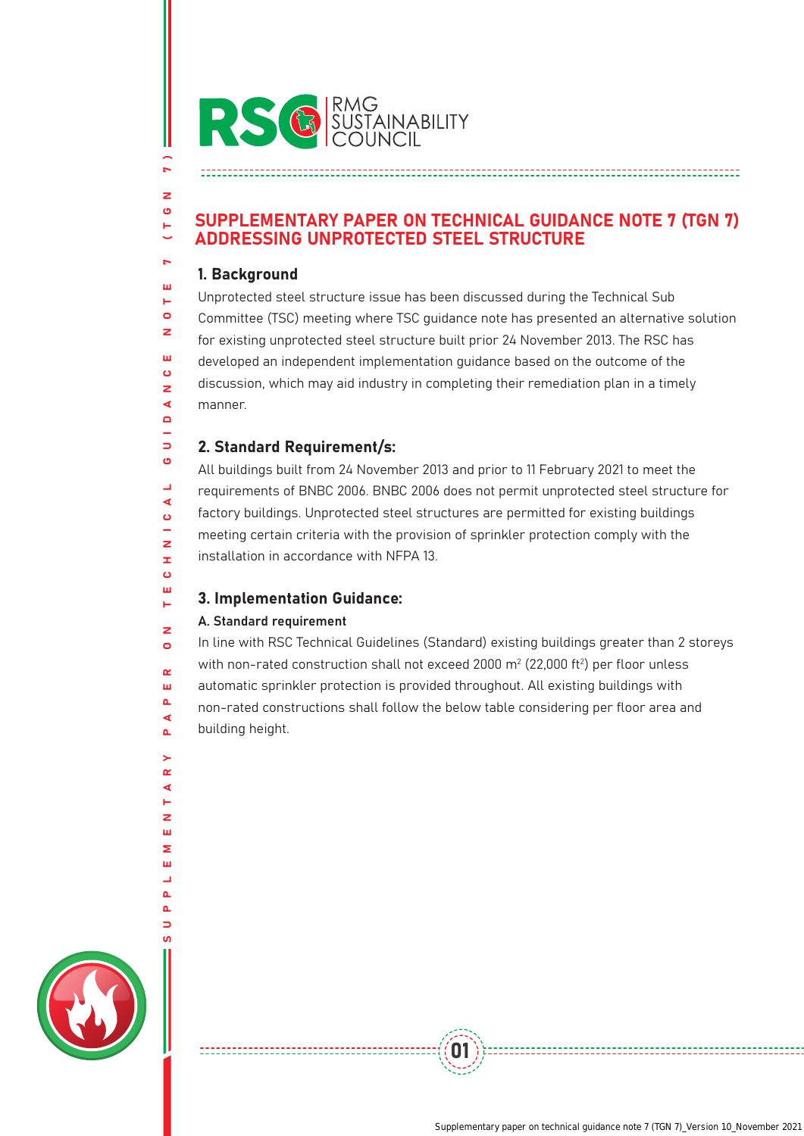

# SUPPLEMENTARY PAPER ON TECHNICAL GUIDANCE NOTE 7 (TGN 7) ADDRESSING UNPROTECTED STEEL STRUCTURE

## 1. Background

 $\overline{a}$ 

z Ő н

k. Ш Ē.  $\mathbf{d}$ z  $\overline{111}$  $\ddot{\mathbf{c}}$ z ∢  $\overline{\mathbf{a}}$ L.  $\Rightarrow$ ö L, ◀ Ő  $\overline{z}$ x  $\ddot{\mathbf{c}}$  $\overline{111}$  $\mathbf{L}$  $\overline{z}$  $\bullet$  $\sim$ ш  $\Delta$ ⋖  $\Delta$ 

> $\alpha$ ∢

 $\overline{z}$ m ż ш L.  $\Delta$  $\Delta$ 

Unprotected steel structure issue has been discussed during the Technical Sub Committee (TSC) meeting where TSC guidance note has presented an alternative solution for existing unprotected steel structure built prior 24 November 2013. The RSC has developed an independent implementation guidance based on the outcome of the discussion, which may aid industry in completing their remediation plan in a timely manner.

# 2. Standard Requirement/s:

All buildings built from 24 November 2013 and prior to 11 February 2021 to meet the requirements of BNBC 2006. BNBC 2006 does not permit unprotected steel structure for factory buildings. Unprotected steel structures are permitted for existing buildings meeting certain criteria with the provision of sprinkler protection comply with the installation in accordance with NFPA 13.

# 3. Implementation Guidance:

## A. Standard requirement

In line with RSC Technical Guidelines (Standard) existing buildings greater than 2 storeys with non-rated construction shall not exceed 2000  $\text{m}^2$  (22,000 ft $^2$ ) per floor unless automatic sprinkler protection is provided throughout. All existing buildings with non-rated constructions shall follow the below table considering per floor area and building height.

01

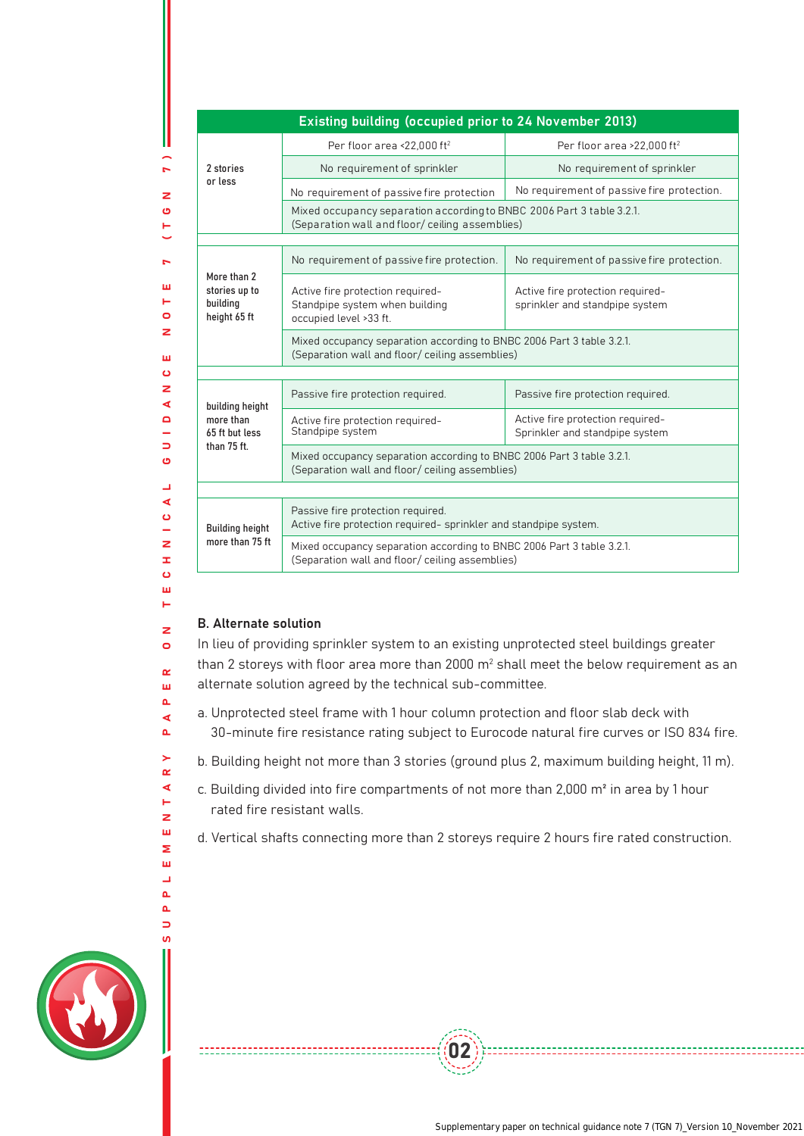#### Existing building (occupied prior to 24 November 2013)

| 2 stories<br>or less                                          | Per floor area <22.000 ft <sup>2</sup>                                                                                   | Per floor area >22.000 ft <sup>2</sup>                             |  |  |  |  |
|---------------------------------------------------------------|--------------------------------------------------------------------------------------------------------------------------|--------------------------------------------------------------------|--|--|--|--|
|                                                               | No requirement of sprinkler                                                                                              | No requirement of sprinkler                                        |  |  |  |  |
|                                                               | No requirement of passive fire protection                                                                                | No requirement of passive fire protection.                         |  |  |  |  |
|                                                               | Mixed occupancy separation according to BNBC 2006 Part 3 table 3.2.1.<br>(Separation wall and floor/ ceiling assemblies) |                                                                    |  |  |  |  |
|                                                               |                                                                                                                          |                                                                    |  |  |  |  |
| More than 2<br>stories up to<br>building<br>height 65 ft      | No requirement of passive fire protection.                                                                               | No requirement of passive fire protection.                         |  |  |  |  |
|                                                               | Active fire protection required-<br>Standpipe system when building<br>occupied level >33 ft.                             | Active fire protection required-<br>sprinkler and standpipe system |  |  |  |  |
|                                                               | Mixed occupancy separation according to BNBC 2006 Part 3 table 3.2.1.<br>(Separation wall and floor/ ceiling assemblies) |                                                                    |  |  |  |  |
|                                                               |                                                                                                                          |                                                                    |  |  |  |  |
| building height<br>more than<br>65 ft but less<br>than 75 ft. | Passive fire protection required.                                                                                        | Passive fire protection required.                                  |  |  |  |  |
|                                                               | Active fire protection required-<br>Standpipe system                                                                     | Active fire protection required-<br>Sprinkler and standpipe system |  |  |  |  |
|                                                               | Mixed occupancy separation according to BNBC 2006 Part 3 table 3.2.1.<br>(Separation wall and floor/ ceiling assemblies) |                                                                    |  |  |  |  |
|                                                               |                                                                                                                          |                                                                    |  |  |  |  |
| <b>Building height</b><br>more than 75 ft                     | Passive fire protection required.<br>Active fire protection required- sprinkler and standpipe system.                    |                                                                    |  |  |  |  |
|                                                               | Mixed occupancy separation according to BNBC 2006 Part 3 table 3.2.1.<br>(Separation wall and floor/ ceiling assemblies) |                                                                    |  |  |  |  |

#### B. Alternate solution

-------------------------

 $\overline{7}$ )

z Ő

ш  $\mathbf{r}$  $\circ$  $\overline{z}$ ш  $\bullet$ z ∢  $\Omega$ L.  $\Box$ Ő  $\Box$ ◀  $\ddot{\mathbf{c}}$  $\overline{z}$  $\mathbf{r}$  $\ddot{\mathbf{c}}$ **A**  $\blacksquare$  $\overline{z}$  $\bullet$  $\sim$ ш  $\Delta$  $\blacktriangleleft$  $\Delta$  $\geq$  $\alpha$ ∢  $\vdash$ z ш Σ ш  $\overline{\phantom{0}}$  $\Delta$  $\Delta$  $\Rightarrow$ 

In lieu of providing sprinkler system to an existing unprotected steel buildings greater than 2 storeys with floor area more than 2000  $\text{m}^2$  shall meet the below requirement as an alternate solution agreed by the technical sub-committee.

- a. Unprotected steel frame with 1 hour column protection and floor slab deck with 30-minute fire resistance rating subject to Eurocode natural fire curves or ISO 834 fire.
- b. Building height not more than 3 stories (ground plus 2, maximum building height, 11 m).
- c. Building divided into fire compartments of not more than 2,000 m² in area by 1 hour rated fire resistant walls.
- d. Vertical shafts connecting more than 2 storeys require 2 hours fire rated construction.

02